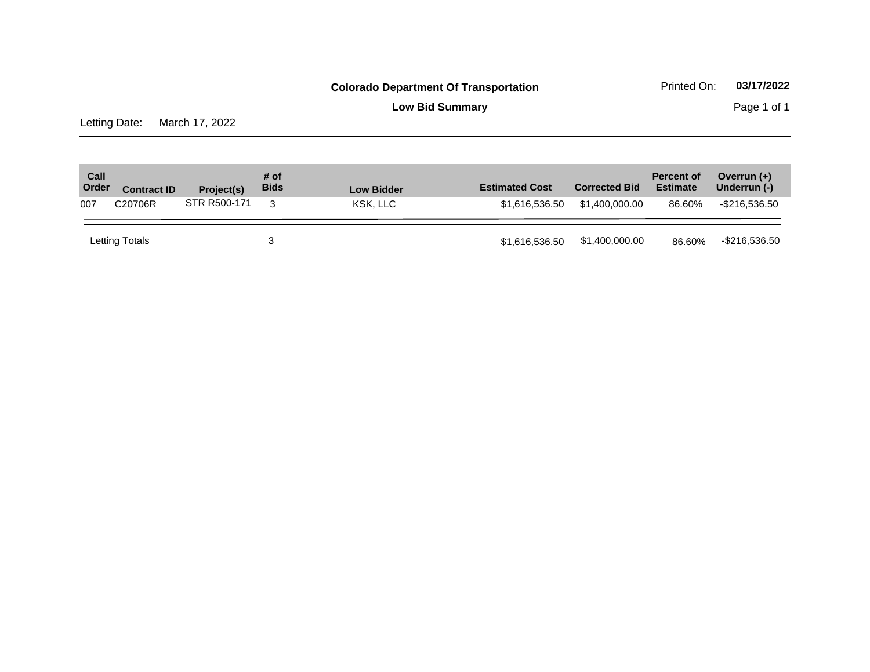**Low Bid Summary Page 1 of 1** 

Letting Date: March 17, 2022

| Call<br>Order | <b>Contract ID</b> | Project(s)   | # of<br><b>Bids</b> | <b>Low Bidder</b> | <b>Estimated Cost</b> | <b>Corrected Bid</b> | <b>Percent of</b><br><b>Estimate</b> | Overrun $(+)$<br>Underrun (-) |
|---------------|--------------------|--------------|---------------------|-------------------|-----------------------|----------------------|--------------------------------------|-------------------------------|
| 007           | C20706R            | STR R500-171 | 3                   | KSK. LLC          | \$1.616.536.50        | \$1,400,000,00       | 86.60%                               | -\$216,536.50                 |
|               | Letting Totals     |              |                     |                   | \$1,616,536.50        | \$1,400,000.00       | 86.60%                               | -\$216,536.50                 |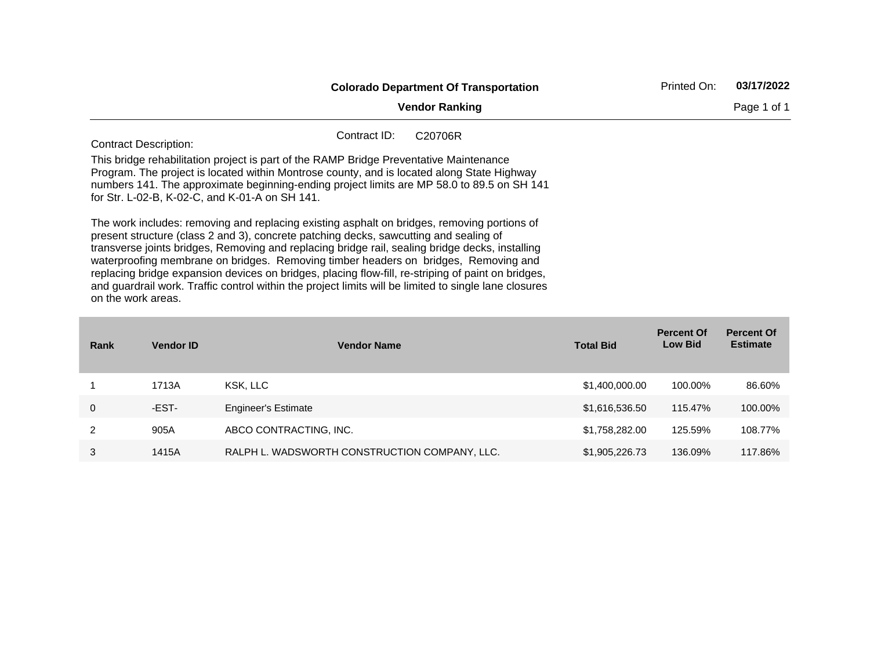|                                                                                                                                                                                                                                                                                                                                                                                                                                                                                                                                                                                                                     | <b>Colorado Department Of Transportation</b> |         |  | 03/17/2022 |  |
|---------------------------------------------------------------------------------------------------------------------------------------------------------------------------------------------------------------------------------------------------------------------------------------------------------------------------------------------------------------------------------------------------------------------------------------------------------------------------------------------------------------------------------------------------------------------------------------------------------------------|----------------------------------------------|---------|--|------------|--|
|                                                                                                                                                                                                                                                                                                                                                                                                                                                                                                                                                                                                                     | <b>Vendor Ranking</b>                        |         |  |            |  |
| <b>Contract Description:</b>                                                                                                                                                                                                                                                                                                                                                                                                                                                                                                                                                                                        | Contract ID:                                 | C20706R |  |            |  |
| This bridge rehabilitation project is part of the RAMP Bridge Preventative Maintenance<br>Program. The project is located within Montrose county, and is located along State Highway<br>numbers 141. The approximate beginning-ending project limits are MP 58.0 to 89.5 on SH 141<br>for Str. L-02-B, K-02-C, and K-01-A on SH 141.                                                                                                                                                                                                                                                                                |                                              |         |  |            |  |
| The work includes: removing and replacing existing asphalt on bridges, removing portions of<br>present structure (class 2 and 3), concrete patching decks, sawcutting and sealing of<br>transverse joints bridges, Removing and replacing bridge rail, sealing bridge decks, installing<br>waterproofing membrane on bridges. Removing timber headers on bridges, Removing and<br>replacing bridge expansion devices on bridges, placing flow-fill, re-striping of paint on bridges,<br>and guardrail work. Traffic control within the project limits will be limited to single lane closures<br>on the work areas. |                                              |         |  |            |  |

| Rank | <b>Vendor ID</b> | <b>Vendor Name</b>                            | <b>Total Bid</b> | <b>Percent Of</b><br><b>Low Bid</b> | <b>Percent Of</b><br><b>Estimate</b> |
|------|------------------|-----------------------------------------------|------------------|-------------------------------------|--------------------------------------|
|      | 1713A            | KSK, LLC                                      | \$1,400,000.00   | 100.00%                             | 86.60%                               |
| 0    | -EST-            | <b>Engineer's Estimate</b>                    | \$1,616,536.50   | 115.47%                             | 100.00%                              |
| 2    | 905A             | ABCO CONTRACTING, INC.                        | \$1,758,282.00   | 125.59%                             | 108.77%                              |
| 3    | 1415A            | RALPH L. WADSWORTH CONSTRUCTION COMPANY, LLC. | \$1,905,226.73   | 136.09%                             | 117.86%                              |

the control of the control of the control of the control of the control of the control of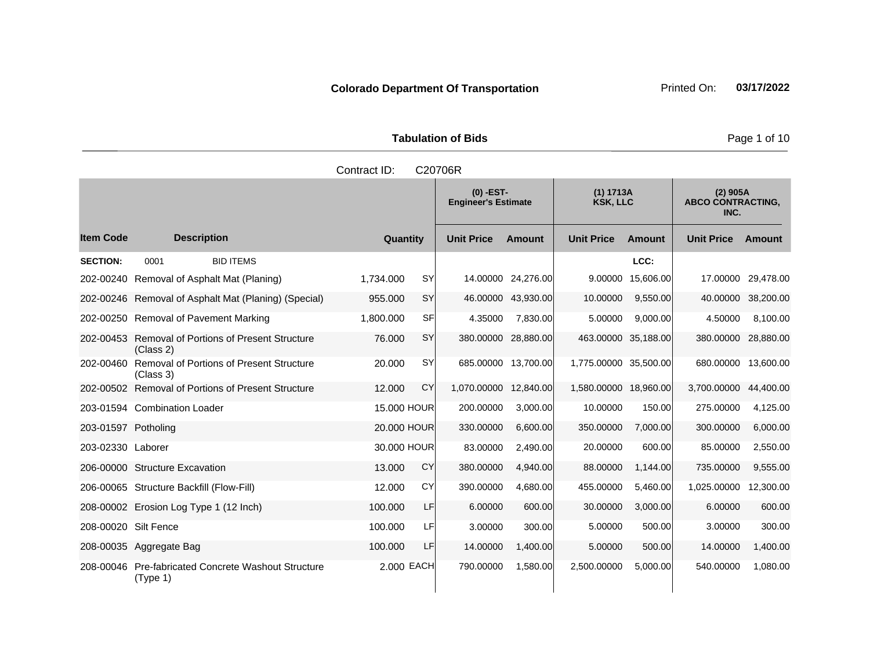**Tabulation of Bids Page 1 of 10** 

|                      |                                                              | Contract ID: |           | C20706R                                   |                     |                              |               |                                                |           |
|----------------------|--------------------------------------------------------------|--------------|-----------|-------------------------------------------|---------------------|------------------------------|---------------|------------------------------------------------|-----------|
|                      |                                                              |              |           | $(0)$ -EST-<br><b>Engineer's Estimate</b> |                     | (1) 1713A<br><b>KSK, LLC</b> |               | $(2)$ 905A<br><b>ABCO CONTRACTING,</b><br>INC. |           |
| <b>Item Code</b>     | <b>Description</b>                                           | Quantity     |           | <b>Unit Price</b>                         | <b>Amount</b>       | <b>Unit Price</b>            | <b>Amount</b> | <b>Unit Price</b>                              | Amount    |
| <b>SECTION:</b>      | <b>BID ITEMS</b><br>0001                                     |              |           |                                           |                     |                              | LCC:          |                                                |           |
| 202-00240            | Removal of Asphalt Mat (Planing)                             | 1,734.000    | <b>SY</b> |                                           | 14.00000 24,276.00  | 9.00000                      | 15,606.00     | 17.00000                                       | 29,478.00 |
|                      | 202-00246 Removal of Asphalt Mat (Planing) (Special)         | 955.000      | <b>SY</b> | 46.00000                                  | 43,930.00           | 10.00000                     | 9,550.00      | 40.00000                                       | 38,200.00 |
|                      | 202-00250 Removal of Pavement Marking                        | 1,800.000    | SFI       | 4.35000                                   | 7,830.00            | 5.00000                      | 9,000.00      | 4.50000                                        | 8,100.00  |
| 202-00453            | <b>Removal of Portions of Present Structure</b><br>(Class 2) | 76.000       | <b>SY</b> | 380.00000                                 | 28,880.00           | 463.00000 35,188.00          |               | 380.00000                                      | 28,880.00 |
| 202-00460            | Removal of Portions of Present Structure<br>(Class 3)        | 20.000       | <b>SY</b> |                                           | 685.00000 13,700.00 | 1,775.00000 35,500.00        |               | 680.00000                                      | 13,600.00 |
|                      | 202-00502 Removal of Portions of Present Structure           | 12.000       | CY        | 1,070.00000 12,840.00                     |                     | 1,580.00000 18,960.00        |               | 3,700.00000                                    | 44,400.00 |
|                      | 203-01594 Combination Loader                                 | 15,000 HOUR  |           | 200.00000                                 | 3,000.00            | 10.00000                     | 150.00        | 275.00000                                      | 4,125.00  |
| 203-01597 Potholing  |                                                              | 20,000 HOUR  |           | 330.00000                                 | 6,600.00            | 350.00000                    | 7,000.00      | 300.00000                                      | 6,000.00  |
| 203-02330 Laborer    |                                                              | 30.000 HOUR  |           | 83.00000                                  | 2,490.00            | 20.00000                     | 600.00        | 85.00000                                       | 2,550.00  |
|                      | 206-00000 Structure Excavation                               | 13.000       | CY        | 380.00000                                 | 4,940.00            | 88.00000                     | 1,144.00      | 735.00000                                      | 9,555.00  |
|                      | 206-00065 Structure Backfill (Flow-Fill)                     | 12.000       | CY        | 390.00000                                 | 4,680.00            | 455.00000                    | 5,460.00      | 1,025.00000                                    | 12,300.00 |
|                      | 208-00002 Erosion Log Type 1 (12 Inch)                       | 100.000      | LF        | 6.00000                                   | 600.00              | 30.00000                     | 3,000.00      | 6.00000                                        | 600.00    |
| 208-00020 Silt Fence |                                                              | 100.000      | LF        | 3.00000                                   | 300.00              | 5.00000                      | 500.00        | 3.00000                                        | 300.00    |
|                      | 208-00035 Aggregate Bag                                      | 100.000      | LF        | 14.00000                                  | 1,400.00            | 5.00000                      | 500.00        | 14.00000                                       | 1,400.00  |
| 208-00046            | <b>Pre-fabricated Concrete Washout Structure</b><br>(Type 1) | 2.000 EACH   |           | 790.00000                                 | 1,580.00            | 2,500.00000                  | 5.000.00      | 540.00000                                      | 1,080.00  |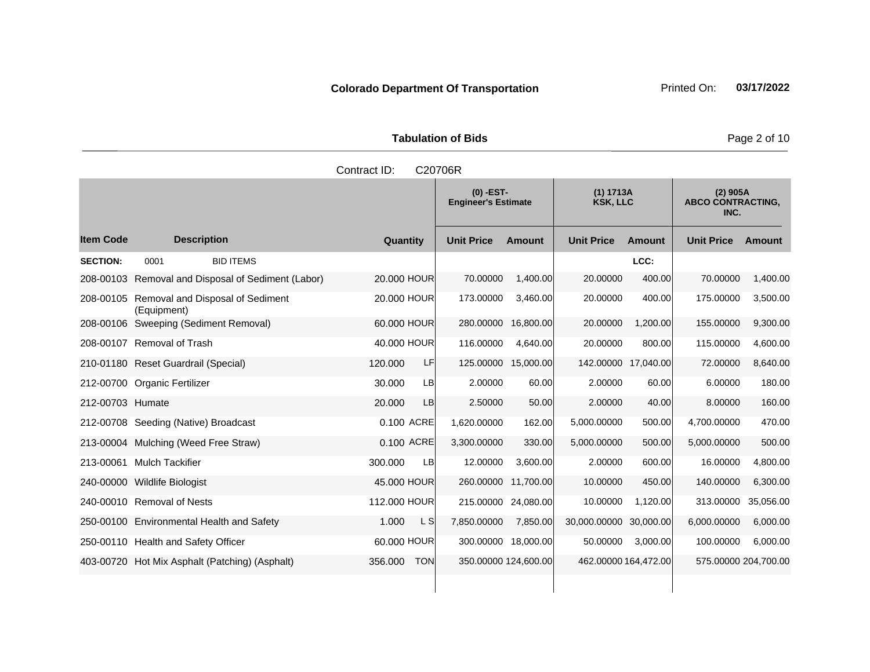**Tabulation of Bids Page 2 of 10** 

|                  |                                                           | Contract ID:          | C20706R                                 |                      |                              |               |                                                |               |
|------------------|-----------------------------------------------------------|-----------------------|-----------------------------------------|----------------------|------------------------------|---------------|------------------------------------------------|---------------|
|                  |                                                           |                       | (0) -EST-<br><b>Engineer's Estimate</b> |                      | (1) 1713A<br><b>KSK, LLC</b> |               | $(2)$ 905A<br><b>ABCO CONTRACTING,</b><br>INC. |               |
| <b>Item Code</b> | <b>Description</b>                                        | <b>Quantity</b>       | <b>Unit Price</b>                       | <b>Amount</b>        | <b>Unit Price</b>            | <b>Amount</b> | <b>Unit Price</b>                              | <b>Amount</b> |
| <b>SECTION:</b>  | <b>BID ITEMS</b><br>0001                                  |                       |                                         |                      |                              | LCC:          |                                                |               |
|                  | 208-00103 Removal and Disposal of Sediment (Labor)        | 20,000 HOUR           | 70.00000                                | 1,400.00             | 20.00000                     | 400.00        | 70.00000                                       | 1,400.00      |
|                  | 208-00105 Removal and Disposal of Sediment<br>(Equipment) | 20,000 HOUR           | 173.00000                               | 3,460.00             | 20.00000                     | 400.00        | 175.00000                                      | 3,500.00      |
|                  | 208-00106 Sweeping (Sediment Removal)                     | 60.000 HOUR           | 280.00000                               | 16,800.00            | 20.00000                     | 1,200.00      | 155.00000                                      | 9,300.00      |
|                  | 208-00107 Removal of Trash                                | 40.000 HOUR           | 116.00000                               | 4,640.00             | 20.00000                     | 800.00        | 115.00000                                      | 4,600.00      |
|                  | 210-01180 Reset Guardrail (Special)                       | 120,000<br>LF         | 125.00000                               | 15,000.00            | 142.00000 17,040.00          |               | 72.00000                                       | 8,640.00      |
|                  | 212-00700 Organic Fertilizer                              | 30.000<br>LB          | 2.00000                                 | 60.00                | 2.00000                      | 60.00         | 6.00000                                        | 180.00        |
| 212-00703 Humate |                                                           | 20,000<br>LB          | 2.50000                                 | 50.00                | 2.00000                      | 40.00         | 8.00000                                        | 160.00        |
|                  | 212-00708 Seeding (Native) Broadcast                      | 0.100 ACRE            | 1,620.00000                             | 162.00               | 5,000.00000                  | 500.00        | 4,700.00000                                    | 470.00        |
|                  | 213-00004 Mulching (Weed Free Straw)                      | 0.100 ACRE            | 3,300.00000                             | 330.00               | 5,000.00000                  | 500.00        | 5,000.00000                                    | 500.00        |
|                  | 213-00061 Mulch Tackifier                                 | 300.000<br>LB         | 12.00000                                | 3,600.00             | 2.00000                      | 600.00        | 16.00000                                       | 4,800.00      |
|                  | 240-00000 Wildlife Biologist                              | 45.000 HOUR           |                                         | 260.00000 11,700.00  | 10.00000                     | 450.00        | 140.00000                                      | 6,300.00      |
|                  | 240-00010 Removal of Nests                                | 112.000 HOUR          | 215.00000                               | 24,080.00            | 10.00000                     | 1,120.00      | 313.00000                                      | 35,056.00     |
|                  | 250-00100 Environmental Health and Safety                 | 1.000<br>L SI         | 7,850.00000                             | 7,850.00             | 30,000.00000                 | 30,000.00     | 6,000.00000                                    | 6,000.00      |
|                  | 250-00110 Health and Safety Officer                       | 60.000 HOUR           |                                         | 300.00000 18,000.00  | 50.00000                     | 3,000.00      | 100.00000                                      | 6,000.00      |
|                  | 403-00720 Hot Mix Asphalt (Patching) (Asphalt)            | 356.000<br><b>TON</b> |                                         | 350.00000 124,600.00 | 462.00000 164,472.00         |               | 575.00000 204,700.00                           |               |
|                  |                                                           |                       |                                         |                      |                              |               |                                                |               |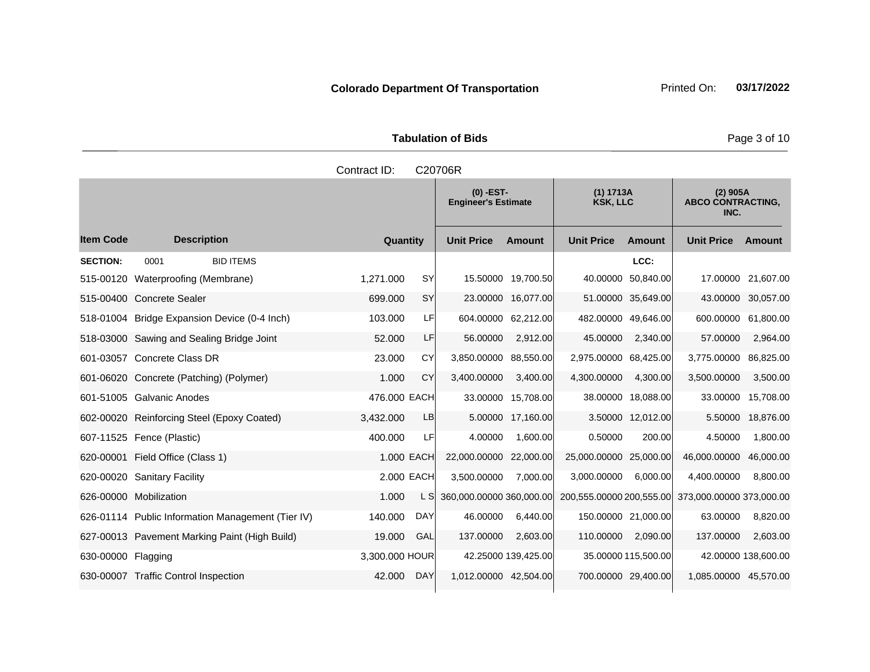**Tabulation of Bids Page 3 of 10** 

|                    |                                                   | Contract ID:    |            | C20706R                                   |                     |                              |                     |                                                |                     |
|--------------------|---------------------------------------------------|-----------------|------------|-------------------------------------------|---------------------|------------------------------|---------------------|------------------------------------------------|---------------------|
|                    |                                                   |                 |            | $(0)$ -EST-<br><b>Engineer's Estimate</b> |                     | (1) 1713A<br><b>KSK, LLC</b> |                     | $(2)$ 905A<br><b>ABCO CONTRACTING,</b><br>INC. |                     |
| <b>Item Code</b>   | <b>Description</b>                                | <b>Quantity</b> |            | <b>Unit Price</b>                         | <b>Amount</b>       | <b>Unit Price</b>            | <b>Amount</b>       | <b>Unit Price</b>                              | Amount              |
| <b>SECTION:</b>    | <b>BID ITEMS</b><br>0001                          |                 |            |                                           |                     |                              | LCC:                |                                                |                     |
| 515-00120          | Waterproofing (Membrane)                          | 1,271.000       | <b>SY</b>  |                                           | 15.50000 19,700.50  | 40.00000                     | 50,840.00           | 17.00000                                       | 21,607.00           |
|                    | 515-00400 Concrete Sealer                         | 699.000         | SY         |                                           | 23.00000 16,077.00  |                              | 51.00000 35,649.00  |                                                | 43.00000 30,057.00  |
|                    | 518-01004 Bridge Expansion Device (0-4 Inch)      | 103.000         | LF         |                                           | 604.00000 62,212.00 | 482.00000 49,646.00          |                     |                                                | 600.00000 61,800.00 |
|                    | 518-03000 Sawing and Sealing Bridge Joint         | 52.000          | LF         | 56.00000                                  | 2,912.00            | 45.00000                     | 2,340.00            | 57.00000                                       | 2,964.00            |
|                    | 601-03057 Concrete Class DR                       | 23,000          | CY         | 3.850.00000                               | 88,550.00           | 2,975.00000 68,425.00        |                     | 3.775.00000                                    | 86,825.00           |
|                    | 601-06020 Concrete (Patching) (Polymer)           | 1.000           | CY         | 3,400.00000                               | 3,400.00            | 4,300.00000                  | 4,300.00            | 3,500.00000                                    | 3,500.00            |
|                    | 601-51005 Galvanic Anodes                         | 476.000 EACH    |            |                                           | 33.00000 15,708.00  |                              | 38.00000 18,088.00  | 33.00000                                       | 15,708.00           |
|                    | 602-00020 Reinforcing Steel (Epoxy Coated)        | 3,432.000       | LB         |                                           | 5.00000 17,160.00   |                              | 3.50000 12,012.00   | 5.50000                                        | 18,876.00           |
|                    | 607-11525 Fence (Plastic)                         | 400.000         | LF         | 4.00000                                   | 1,600.00            | 0.50000                      | 200.00              | 4.50000                                        | 1,800.00            |
| 620-00001          | Field Office (Class 1)                            |                 | 1.000 EACH | 22,000.00000                              | 22,000.00           | 25,000.00000 25,000.00       |                     | 46,000.00000                                   | 46,000.00           |
|                    | 620-00020 Sanitary Facility                       |                 | 2.000 EACH | 3,500.00000                               | 7,000.00            | 3,000.00000                  | 6,000.00            | 4,400.00000                                    | 8,800.00            |
|                    | 626-00000 Mobilization                            | 1.000           | L SI       | 360,000.00000 360,000.00                  |                     | 200,555.00000 200,555.00     |                     | 373,000.00000 373,000.00                       |                     |
|                    | 626-01114 Public Information Management (Tier IV) | 140.000         | <b>DAY</b> | 46.00000                                  | 6,440.00            | 150.00000 21,000.00          |                     | 63.00000                                       | 8,820.00            |
|                    | 627-00013 Pavement Marking Paint (High Build)     | 19.000          | <b>GAL</b> | 137.00000                                 | 2.603.00            | 110.00000                    | 2,090.00            | 137.00000                                      | 2,603.00            |
| 630-00000 Flagging |                                                   | 3,300.000 HOUR  |            |                                           | 42.25000 139,425.00 |                              | 35.00000 115,500.00 |                                                | 42.00000 138,600.00 |
|                    | 630-00007 Traffic Control Inspection              | 42.000          | <b>DAY</b> | 1,012.00000 42,504.00                     |                     | 700.00000 29,400.00          |                     | 1,085.00000 45,570.00                          |                     |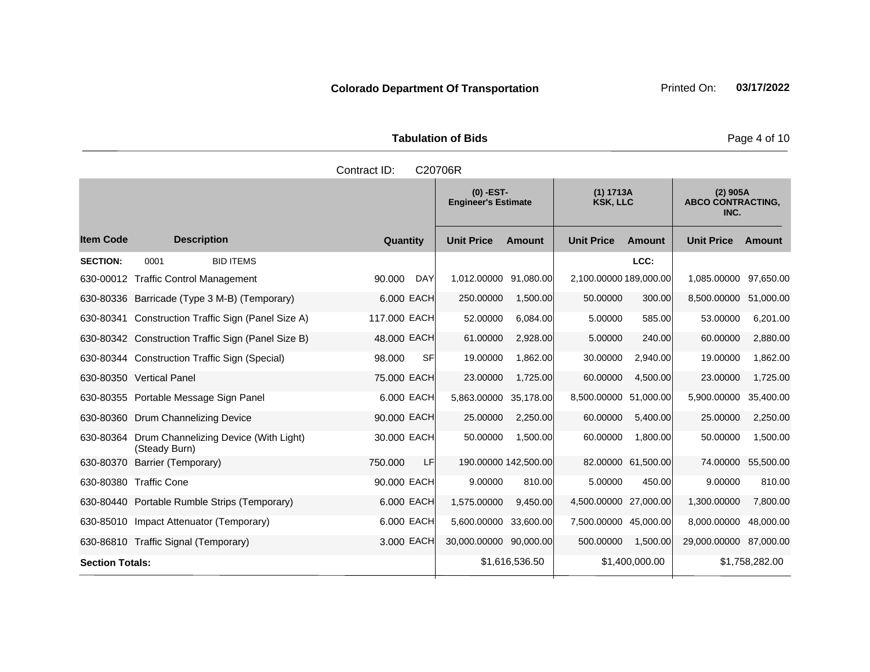Tabulation of Bids **Page 4 of 10** 

|                        |                                                        | Contract ID:         | C20706R                                   |                |                              |                    |                                                |                |
|------------------------|--------------------------------------------------------|----------------------|-------------------------------------------|----------------|------------------------------|--------------------|------------------------------------------------|----------------|
|                        |                                                        |                      | $(0)$ -EST-<br><b>Engineer's Estimate</b> |                | (1) 1713A<br><b>KSK, LLC</b> |                    | $(2)$ 905A<br><b>ABCO CONTRACTING,</b><br>INC. |                |
| <b>Item Code</b>       | <b>Description</b>                                     | Quantity             | <b>Unit Price</b>                         | <b>Amount</b>  | <b>Unit Price</b>            | <b>Amount</b>      | <b>Unit Price</b>                              | Amount         |
| <b>SECTION:</b>        | <b>BID ITEMS</b><br>0001                               |                      |                                           |                |                              | LCC:               |                                                |                |
|                        | 630-00012 Traffic Control Management                   | 90.000<br><b>DAY</b> | 1,012.00000                               | 91,080.00      | 2,100.00000 189,000.00       |                    | 1,085.00000                                    | 97,650.00      |
|                        | 630-80336 Barricade (Type 3 M-B) (Temporary)           | 6.000 EACH           | 250.00000                                 | 1,500.00       | 50.00000                     | 300.00             | 8,500.00000                                    | 51,000.00      |
| 630-80341              | Construction Traffic Sign (Panel Size A)               | 117.000 EACH         | 52.00000                                  | 6,084.00       | 5.00000                      | 585.00             | 53.00000                                       | 6,201.00       |
|                        | 630-80342 Construction Traffic Sign (Panel Size B)     | 48.000 EACH          | 61.00000                                  | 2,928.00       | 5.00000                      | 240.00             | 60.00000                                       | 2,880.00       |
|                        | 630-80344 Construction Traffic Sign (Special)          | <b>SF</b><br>98.000  | 19.00000                                  | 1,862.00       | 30.00000                     | 2,940.00           | 19.00000                                       | 1,862.00       |
|                        | 630-80350 Vertical Panel                               | 75,000 EACH          | 23.00000                                  | 1,725.00       | 60.00000                     | 4,500.00           | 23.00000                                       | 1,725.00       |
|                        | 630-80355 Portable Message Sign Panel                  | 6,000 EACH           | 5,863.00000                               | 35.178.00      | 8,500.00000 51,000.00        |                    | 5,900.00000                                    | 35,400.00      |
|                        | 630-80360 Drum Channelizing Device                     | 90.000 EACH          | 25.00000                                  | 2,250.00       | 60.00000                     | 5,400.00           | 25.00000                                       | 2,250.00       |
| 630-80364              | Drum Channelizing Device (With Light)<br>(Steady Burn) | 30.000 EACH          | 50.00000                                  | 1,500.00       | 60.00000                     | 1,800.00           | 50.00000                                       | 1,500.00       |
| 630-80370              | Barrier (Temporary)                                    | 750.000<br>LF        | 190.00000 142,500.00                      |                |                              | 82.00000 61,500.00 | 74.00000                                       | 55,500.00      |
|                        | 630-80380 Traffic Cone                                 | 90,000 EACH          | 9.00000                                   | 810.00         | 5.00000                      | 450.00             | 9.00000                                        | 810.00         |
|                        | 630-80440 Portable Rumble Strips (Temporary)           | 6.000 EACH           | 1,575.00000                               | 9,450.00       | 4,500.00000 27,000.00        |                    | 1,300.00000                                    | 7,800.00       |
|                        | 630-85010 Impact Attenuator (Temporary)                | 6.000 EACH           | 5,600.00000                               | 33,600.00      | 7,500.00000 45,000.00        |                    | 8,000.00000                                    | 48,000.00      |
|                        | 630-86810 Traffic Signal (Temporary)                   | 3.000 EACH           | 30,000.00000 90,000.00                    |                | 500.00000                    | 1,500.00           | 29,000.00000                                   | 87,000.00      |
| <b>Section Totals:</b> |                                                        |                      |                                           | \$1,616,536.50 |                              | \$1,400,000.00     |                                                | \$1,758,282.00 |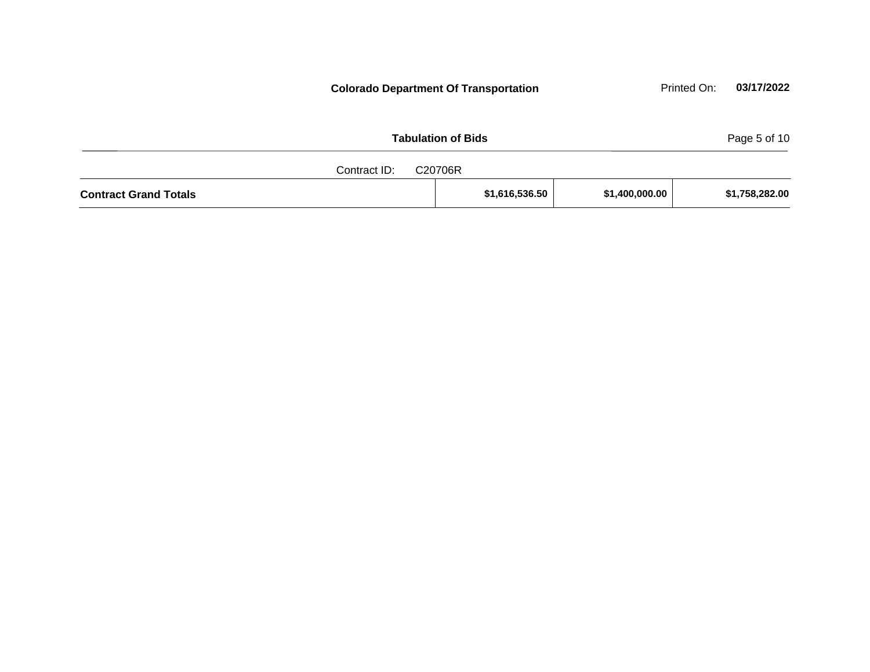| <b>Tabulation of Bids</b>    |  |                |                |                |  |
|------------------------------|--|----------------|----------------|----------------|--|
| Contract ID:<br>C20706R      |  |                |                |                |  |
| <b>Contract Grand Totals</b> |  | \$1,616,536.50 | \$1,400,000.00 | \$1,758,282.00 |  |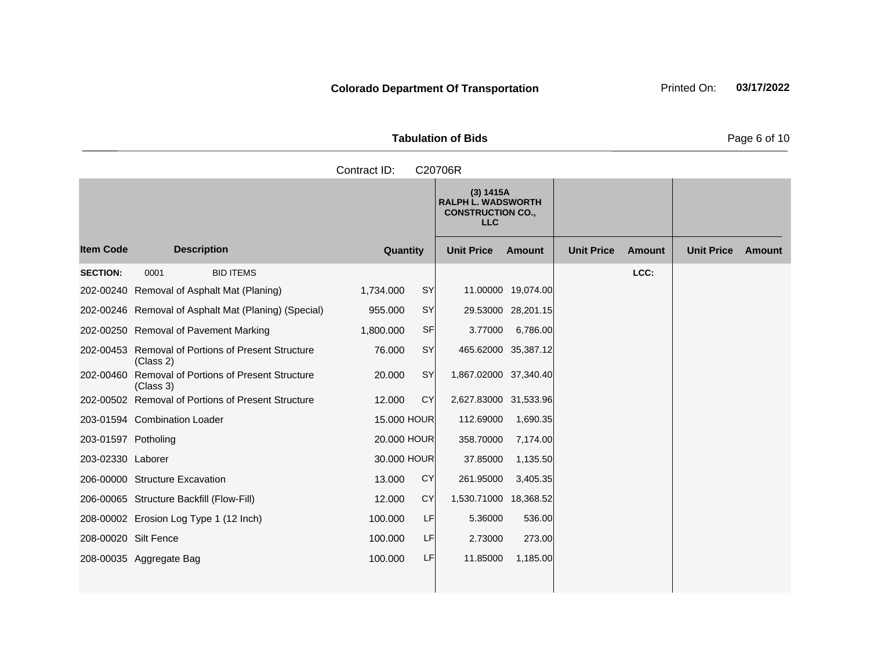Tabulation of Bids **Page 6 of 10** 

|                     |                                                                 | Contract ID:        | C20706R                                                                          |                    |                   |        |                   |        |
|---------------------|-----------------------------------------------------------------|---------------------|----------------------------------------------------------------------------------|--------------------|-------------------|--------|-------------------|--------|
|                     |                                                                 |                     | (3) 1415A<br><b>RALPH L. WADSWORTH</b><br><b>CONSTRUCTION CO.,</b><br><b>LLC</b> |                    |                   |        |                   |        |
| <b>Item Code</b>    | <b>Description</b>                                              | Quantity            | <b>Unit Price</b>                                                                | Amount             | <b>Unit Price</b> | Amount | <b>Unit Price</b> | Amount |
| <b>SECTION:</b>     | <b>BID ITEMS</b><br>0001                                        |                     |                                                                                  |                    |                   | LCC:   |                   |        |
|                     | 202-00240 Removal of Asphalt Mat (Planing)                      | SY<br>1,734.000     |                                                                                  | 11.00000 19,074.00 |                   |        |                   |        |
|                     | 202-00246 Removal of Asphalt Mat (Planing) (Special)            | SY<br>955.000       |                                                                                  | 29.53000 28,201.15 |                   |        |                   |        |
|                     | 202-00250 Removal of Pavement Marking                           | SF<br>1,800.000     | 3.77000                                                                          | 6,786.00           |                   |        |                   |        |
|                     | 202-00453 Removal of Portions of Present Structure<br>(Class 2) | <b>SY</b><br>76.000 | 465.62000 35,387.12                                                              |                    |                   |        |                   |        |
|                     | 202-00460 Removal of Portions of Present Structure<br>(Class 3) | SY<br>20,000        | 1,867.02000 37,340.40                                                            |                    |                   |        |                   |        |
|                     | 202-00502 Removal of Portions of Present Structure              | <b>CY</b><br>12,000 | 2,627.83000 31,533.96                                                            |                    |                   |        |                   |        |
|                     | 203-01594 Combination Loader                                    | 15,000 HOUR         | 112.69000                                                                        | 1,690.35           |                   |        |                   |        |
| 203-01597 Potholing |                                                                 | 20,000 HOUR         | 358.70000                                                                        | 7,174.00           |                   |        |                   |        |
| 203-02330 Laborer   |                                                                 | 30.000 HOUR         | 37.85000                                                                         | 1,135.50           |                   |        |                   |        |
|                     | 206-00000 Structure Excavation                                  | <b>CY</b><br>13.000 | 261.95000                                                                        | 3,405.35           |                   |        |                   |        |
|                     | 206-00065 Structure Backfill (Flow-Fill)                        | <b>CY</b><br>12.000 | 1,530.71000                                                                      | 18,368.52          |                   |        |                   |        |
|                     | 208-00002 Erosion Log Type 1 (12 Inch)                          | LF<br>100.000       | 5.36000                                                                          | 536.00             |                   |        |                   |        |
|                     | 208-00020 Silt Fence                                            | LF<br>100.000       | 2.73000                                                                          | 273.00             |                   |        |                   |        |
|                     | 208-00035 Aggregate Bag                                         | LF<br>100.000       | 11.85000                                                                         | 1,185.00           |                   |        |                   |        |
|                     |                                                                 |                     |                                                                                  |                    |                   |        |                   |        |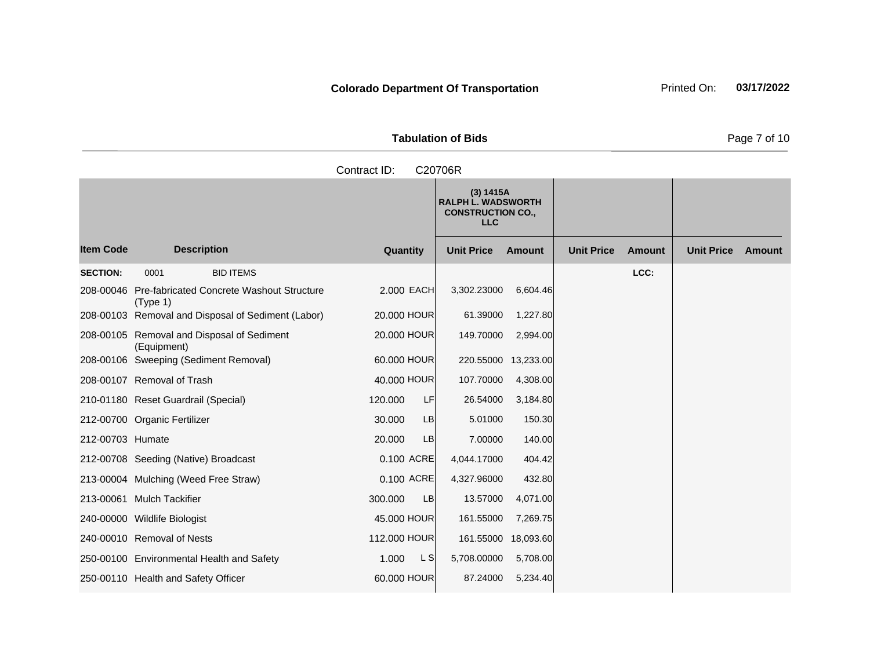| <b>Tabulation of Bids</b> |  |
|---------------------------|--|

**Quantity Unit Price Unit Price Item Code Amount Unit Price Amount Ext Ext Unit Price Amount Ext (3) 1415A RALPH L. WADSWORTH CONSTRUCTION CO., LLC Description SECTION:** 0001 BID ITEMS **LCC:** 208-00046 Pre-fabricated Concrete Washout Structure (Type 1) 2.000 EACH 3,302.23000 6,604.46 208-00103 Removal and Disposal of Sediment (Labor) 20.000 HOUR 61.39000 1,227.80 208-00105 Removal and Disposal of Sediment (Equipment) 20.000 HOUR 149.70000 2,994.00 208-00106 Sweeping (Sediment Removal) 60.000 HOUR 220.55000 13,233.00 208-00107 Removal of Trash 40.000 HOUR 107.70000 4,308.00 210-01180 Reset Guardrail (Special) 120.000 LF 26.54000 3,184.80 212-00700 Organic Fertilizer 30.000 LB 5.01000 150.30 212-00703 Humate 20.000 LB 7.00000 140.00 212-00708 Seeding (Native) Broadcast 0.100 ACRE 4,044.17000 404.42 213-00004 Mulching (Weed Free Straw) 0.100 ACRE 4,327.96000 432.80 213-00061 Mulch Tackifier 300.000 LB 13.57000 4,071.00 240-00000 Wildlife Biologist 45.000 HOUR 161.55000 7,269.75 240-00010 Removal of Nests 112.000 HOUR 161.55000 18,093.60 250-00100 Environmental Health and Safety 1.000 L S 5,708.00000 5,708.00 Contract ID: C20706R

250-00110 Health and Safety Officer 60.000 HOUR 87.24000 5,234.40

**Page 7 of 10**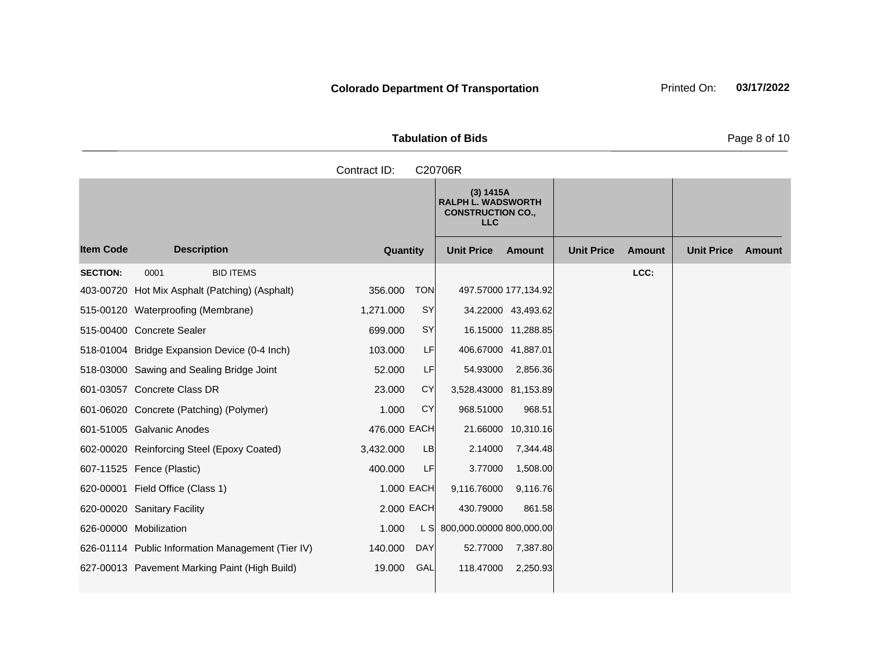**Tabulation of Bids** Page 8 of 10

**Quantity Unit Price Unit Price Item Code Amount Unit Price Amount Ext Ext Unit Price Amount Ext (3) 1415A RALPH L. WADSWORTH CONSTRUCTION CO., LLC Description SECTION:** 0001 BID ITEMS **LCC:** 403-00720 Hot Mix Asphalt (Patching) (Asphalt) 356.000 TON 497.57000 177,134.92 515-00120 Waterproofing (Membrane) 1,271.000 SY 34.22000 43,493.62 515-00400 Concrete Sealer 699.000 SY 16.15000 11,288.85 518-01004 Bridge Expansion Device (0-4 Inch) 103.000 LF 406.67000 41,887.01 518-03000 Sawing and Sealing Bridge Joint 52.000 LF 54.93000 2,856.36 601-03057 Concrete Class DR 23.000 CY 3,528.43000 81,153.89 601-06020 Concrete (Patching) (Polymer) 1.000 CY 968.51000 968.51 601-51005 Galvanic Anodes 476.000 EACH 21.66000 10,310.16 602-00020 Reinforcing Steel (Epoxy Coated) 3,432.000 LB 2.14000 7,344.48 607-11525 Fence (Plastic) 400.000 LF 3.77000 1,508.00 620-00001 Field Office (Class 1) 1.000 EACH 9,116.76000 9,116.76 620-00020 Sanitary Facility 2.000 EACH 430.79000 861.58 626-00000 Mobilization 1.000 L S 800,000.00000 800,000.00 626-01114 Public Information Management (Tier IV) 140.000 DAY 52.77000 7,387.80 Contract ID: C20706R

627-00013 Pavement Marking Paint (High Build) 19.000 GAL 118.47000 2,250.93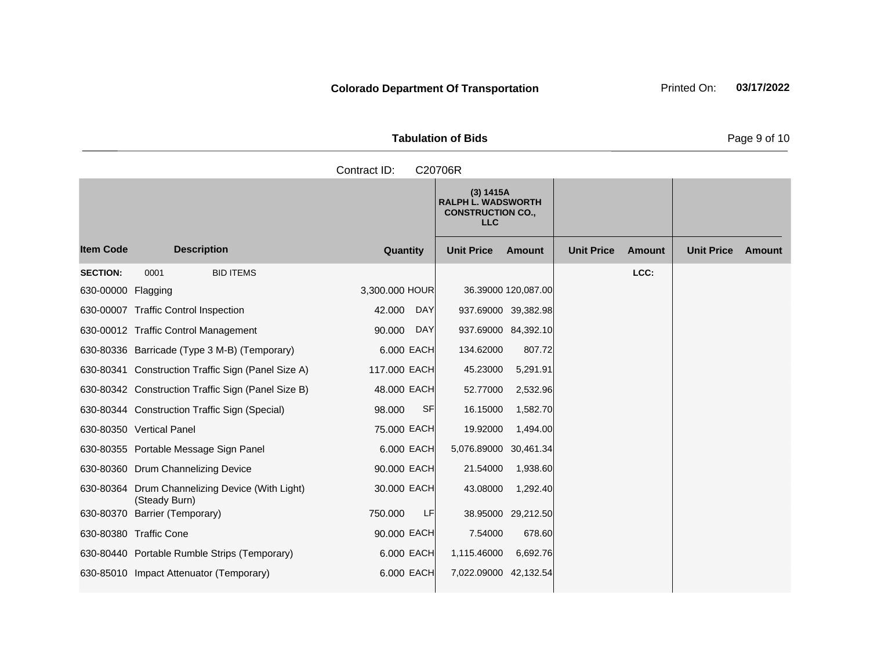**Tabulation of Bids Page 9 of 10** 

|                    |                                                                  | Contract ID:         | C20706R                                                                          |                     |                   |        |                   |        |
|--------------------|------------------------------------------------------------------|----------------------|----------------------------------------------------------------------------------|---------------------|-------------------|--------|-------------------|--------|
|                    |                                                                  |                      | (3) 1415A<br><b>RALPH L. WADSWORTH</b><br><b>CONSTRUCTION CO.,</b><br><b>LLC</b> |                     |                   |        |                   |        |
| <b>Item Code</b>   | <b>Description</b>                                               | Quantity             | <b>Unit Price</b>                                                                | <b>Amount</b>       | <b>Unit Price</b> | Amount | <b>Unit Price</b> | Amount |
| <b>SECTION:</b>    | 0001<br><b>BID ITEMS</b>                                         |                      |                                                                                  |                     |                   | LCC:   |                   |        |
| 630-00000 Flagging |                                                                  | 3,300.000 HOUR       |                                                                                  | 36.39000 120,087.00 |                   |        |                   |        |
|                    | 630-00007 Traffic Control Inspection                             | 42.000<br><b>DAY</b> | 937.69000 39,382.98                                                              |                     |                   |        |                   |        |
|                    | 630-00012 Traffic Control Management                             | 90.000<br><b>DAY</b> | 937.69000 84,392.10                                                              |                     |                   |        |                   |        |
|                    | 630-80336 Barricade (Type 3 M-B) (Temporary)                     | 6.000 EACH           | 134.62000                                                                        | 807.72              |                   |        |                   |        |
|                    | 630-80341 Construction Traffic Sign (Panel Size A)               | 117.000 EACH         | 45.23000                                                                         | 5,291.91            |                   |        |                   |        |
|                    | 630-80342 Construction Traffic Sign (Panel Size B)               | 48.000 EACH          | 52.77000                                                                         | 2,532.96            |                   |        |                   |        |
|                    | 630-80344 Construction Traffic Sign (Special)                    | <b>SF</b><br>98.000  | 16.15000                                                                         | 1,582.70            |                   |        |                   |        |
|                    | 630-80350 Vertical Panel                                         | 75.000 EACH          | 19.92000                                                                         | 1,494.00            |                   |        |                   |        |
|                    | 630-80355 Portable Message Sign Panel                            | 6,000 EACH           | 5,076.89000 30,461.34                                                            |                     |                   |        |                   |        |
|                    | 630-80360 Drum Channelizing Device                               | 90.000 EACH          | 21.54000                                                                         | 1,938.60            |                   |        |                   |        |
|                    | 630-80364 Drum Channelizing Device (With Light)<br>(Steady Burn) | 30,000 EACH          | 43.08000                                                                         | 1,292.40            |                   |        |                   |        |
|                    | 630-80370 Barrier (Temporary)                                    | LF<br>750.000        |                                                                                  | 38.95000 29,212.50  |                   |        |                   |        |
|                    | 630-80380 Traffic Cone                                           | 90.000 EACH          | 7.54000                                                                          | 678.60              |                   |        |                   |        |
|                    | 630-80440 Portable Rumble Strips (Temporary)                     | 6,000 EACH           | 1,115.46000                                                                      | 6,692.76            |                   |        |                   |        |
|                    | 630-85010 Impact Attenuator (Temporary)                          | 6.000 EACH           | 7,022.09000 42,132.54                                                            |                     |                   |        |                   |        |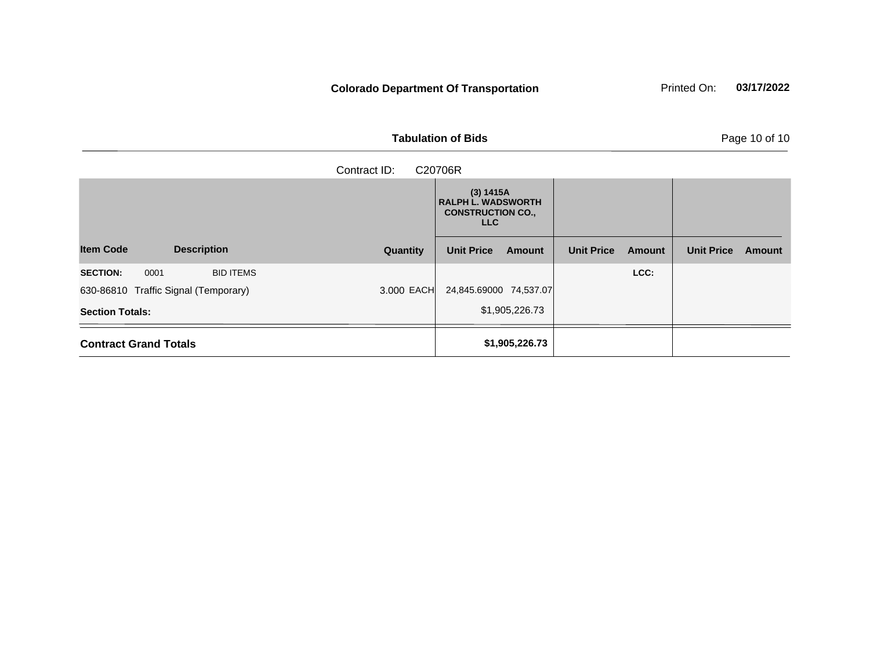**Tabulation of Bids Page 10 of 10** 

| <u>paramente</u> en maneportament |  |  |  |
|-----------------------------------|--|--|--|
|                                   |  |  |  |
|                                   |  |  |  |

| Contract ID:<br>C20706R                     |          |                                                                                  |                             |                             |  |  |  |  |
|---------------------------------------------|----------|----------------------------------------------------------------------------------|-----------------------------|-----------------------------|--|--|--|--|
|                                             |          | (3) 1415A<br><b>RALPH L. WADSWORTH</b><br><b>CONSTRUCTION CO.,</b><br><b>LLC</b> |                             |                             |  |  |  |  |
| <b>Item Code</b><br><b>Description</b>      | Quantity | <b>Unit Price</b><br>Amount                                                      | <b>Unit Price</b><br>Amount | <b>Unit Price</b><br>Amount |  |  |  |  |
| <b>SECTION:</b><br>0001<br><b>BID ITEMS</b> |          |                                                                                  | LCC:                        |                             |  |  |  |  |
| 630-86810 Traffic Signal (Temporary)        |          | 3.000 EACH 24,845.69000 74,537.07                                                |                             |                             |  |  |  |  |
| <b>Section Totals:</b>                      |          | \$1,905,226.73                                                                   |                             |                             |  |  |  |  |
| <b>Contract Grand Totals</b>                |          | \$1,905,226.73                                                                   |                             |                             |  |  |  |  |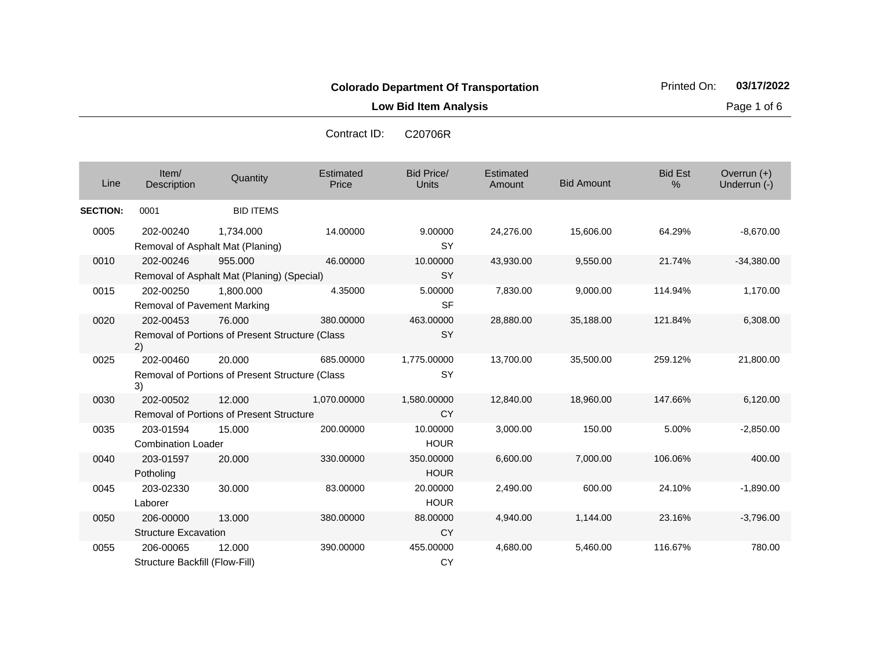**Low Bid Item Analysis Page 1 of 6** 

| Line            | Item/<br><b>Description</b>                     | Quantity                                        | Estimated<br>Price | <b>Bid Price/</b><br><b>Units</b> | Estimated<br>Amount | <b>Bid Amount</b> | <b>Bid Est</b><br>% | Overrun $(+)$<br>Underrun (-) |
|-----------------|-------------------------------------------------|-------------------------------------------------|--------------------|-----------------------------------|---------------------|-------------------|---------------------|-------------------------------|
| <b>SECTION:</b> | 0001                                            | <b>BID ITEMS</b>                                |                    |                                   |                     |                   |                     |                               |
| 0005            | 202-00240                                       | 1,734.000<br>Removal of Asphalt Mat (Planing)   | 14.00000           | 9.00000<br><b>SY</b>              | 24,276.00           | 15,606.00         | 64.29%              | $-8,670.00$                   |
| 0010            | 202-00246                                       | 955.000                                         | 46.00000           | 10.00000                          | 43,930.00           | 9,550.00          | 21.74%              | $-34,380.00$                  |
|                 |                                                 | Removal of Asphalt Mat (Planing) (Special)      |                    | <b>SY</b>                         |                     |                   |                     |                               |
| 0015            | 202-00250                                       | 1,800.000                                       | 4.35000            | 5.00000                           | 7,830.00            | 9,000.00          | 114.94%             | 1,170.00                      |
|                 | Removal of Pavement Marking                     |                                                 |                    | <b>SF</b>                         |                     |                   |                     |                               |
| 0020            | 202-00453                                       | 76.000                                          | 380.00000          | 463.00000                         | 28,880.00           | 35,188.00         | 121.84%             | 6,308.00                      |
|                 | 2)                                              | Removal of Portions of Present Structure (Class |                    | <b>SY</b>                         |                     |                   |                     |                               |
| 0025            | 202-00460                                       | 20,000                                          | 685.00000          | 1,775.00000                       | 13,700.00           | 35,500.00         | 259.12%             | 21,800.00                     |
|                 | 3)                                              | Removal of Portions of Present Structure (Class |                    | <b>SY</b>                         |                     |                   |                     |                               |
| 0030            | 202-00502                                       | 12.000                                          | 1,070.00000        | 1,580.00000                       | 12,840.00           | 18,960.00         | 147.66%             | 6,120.00                      |
|                 | <b>Removal of Portions of Present Structure</b> |                                                 |                    | <b>CY</b>                         |                     |                   |                     |                               |
| 0035            | 203-01594                                       | 15.000                                          | 200.00000          | 10.00000                          | 3,000.00            | 150.00            | 5.00%               | $-2,850.00$                   |
|                 | <b>Combination Loader</b>                       |                                                 |                    | <b>HOUR</b>                       |                     |                   |                     |                               |
| 0040            | 203-01597                                       | 20,000                                          | 330.00000          | 350.00000                         | 6,600.00            | 7,000.00          | 106.06%             | 400.00                        |
|                 | Potholing                                       |                                                 |                    | <b>HOUR</b>                       |                     |                   |                     |                               |
| 0045            | 203-02330                                       | 30.000                                          | 83.00000           | 20.00000                          | 2,490.00            | 600.00            | 24.10%              | $-1,890.00$                   |
|                 | Laborer                                         |                                                 |                    | <b>HOUR</b>                       |                     |                   |                     |                               |
| 0050            | 206-00000                                       | 13.000                                          | 380.00000          | 88.00000                          | 4,940.00            | 1,144.00          | 23.16%              | $-3,796.00$                   |
|                 | <b>Structure Excavation</b>                     |                                                 |                    | <b>CY</b>                         |                     |                   |                     |                               |
| 0055            | 206-00065                                       | 12.000                                          | 390.00000          | 455.00000                         | 4,680.00            | 5,460.00          | 116.67%             | 780.00                        |
|                 | Structure Backfill (Flow-Fill)                  |                                                 |                    | <b>CY</b>                         |                     |                   |                     |                               |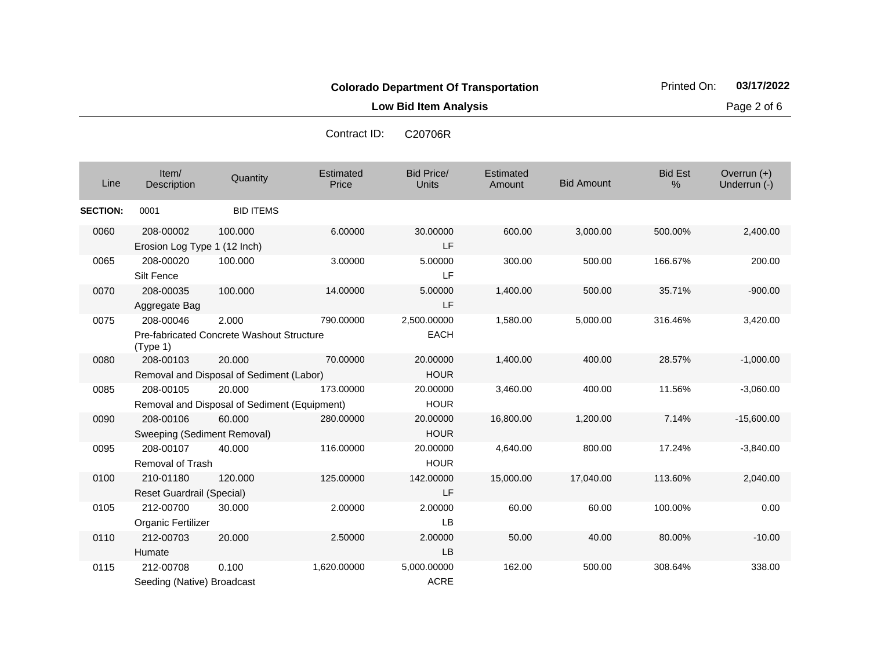**Low Bid Item Analysis Page 2 of 6** 

| Contract ID: | C20706R |
|--------------|---------|
|              |         |

| Line            | Item/<br>Description                      | Quantity                                               | Estimated<br>Price | <b>Bid Price/</b><br><b>Units</b> | Estimated<br>Amount | <b>Bid Amount</b> | <b>Bid Est</b><br>% | Overrun $(+)$<br>Underrun (-) |
|-----------------|-------------------------------------------|--------------------------------------------------------|--------------------|-----------------------------------|---------------------|-------------------|---------------------|-------------------------------|
| <b>SECTION:</b> | 0001                                      | <b>BID ITEMS</b>                                       |                    |                                   |                     |                   |                     |                               |
| 0060            | 208-00002<br>Erosion Log Type 1 (12 Inch) | 100.000                                                | 6.00000            | 30.00000<br>LF                    | 600.00              | 3,000.00          | 500.00%             | 2,400.00                      |
| 0065            | 208-00020<br>Silt Fence                   | 100.000                                                | 3.00000            | 5.00000<br><b>LF</b>              | 300.00              | 500.00            | 166.67%             | 200.00                        |
| 0070            | 208-00035<br>Aggregate Bag                | 100.000                                                | 14.00000           | 5.00000<br>LF                     | 1,400.00            | 500.00            | 35.71%              | $-900.00$                     |
| 0075            | 208-00046<br>(Type 1)                     | 2.000<br>Pre-fabricated Concrete Washout Structure     | 790.00000          | 2,500.00000<br><b>EACH</b>        | 1,580.00            | 5,000.00          | 316.46%             | 3,420.00                      |
| 0080            | 208-00103                                 | 20.000<br>Removal and Disposal of Sediment (Labor)     | 70.00000           | 20.00000<br><b>HOUR</b>           | 1,400.00            | 400.00            | 28.57%              | $-1,000.00$                   |
| 0085            | 208-00105                                 | 20.000<br>Removal and Disposal of Sediment (Equipment) | 173.00000          | 20.00000<br><b>HOUR</b>           | 3,460.00            | 400.00            | 11.56%              | $-3,060.00$                   |
| 0090            | 208-00106<br>Sweeping (Sediment Removal)  | 60.000                                                 | 280.00000          | 20.00000<br><b>HOUR</b>           | 16,800.00           | 1,200.00          | 7.14%               | $-15,600.00$                  |
| 0095            | 208-00107<br>Removal of Trash             | 40.000                                                 | 116.00000          | 20.00000<br><b>HOUR</b>           | 4,640.00            | 800.00            | 17.24%              | $-3,840.00$                   |
| 0100            | 210-01180<br>Reset Guardrail (Special)    | 120.000                                                | 125.00000          | 142.00000<br>LF                   | 15,000.00           | 17,040.00         | 113.60%             | 2,040.00                      |
| 0105            | 212-00700<br>Organic Fertilizer           | 30.000                                                 | 2.00000            | 2.00000<br><b>LB</b>              | 60.00               | 60.00             | 100.00%             | 0.00                          |
| 0110            | 212-00703<br>Humate                       | 20.000                                                 | 2.50000            | 2.00000<br><b>LB</b>              | 50.00               | 40.00             | 80.00%              | $-10.00$                      |
| 0115            | 212-00708<br>Seeding (Native) Broadcast   | 0.100                                                  | 1,620.00000        | 5,000.00000<br><b>ACRE</b>        | 162.00              | 500.00            | 308.64%             | 338.00                        |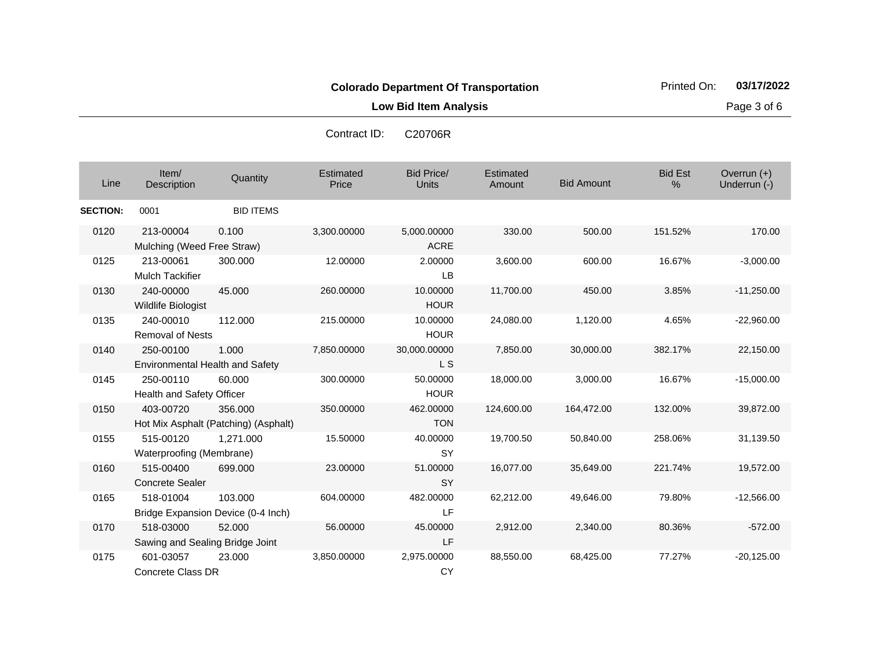**Low Bid Item Analysis Page 3 of 6** 

Contract ID

| ontract ID:<br>C20706R |
|------------------------|
|                        |

| Line            | Item/<br>Description                                | Quantity                                        | Estimated<br>Price | <b>Bid Price/</b><br>Units | Estimated<br>Amount | <b>Bid Amount</b> | <b>Bid Est</b><br>% | Overrun $(+)$<br>Underrun (-) |
|-----------------|-----------------------------------------------------|-------------------------------------------------|--------------------|----------------------------|---------------------|-------------------|---------------------|-------------------------------|
| <b>SECTION:</b> | 0001                                                | <b>BID ITEMS</b>                                |                    |                            |                     |                   |                     |                               |
| 0120            | 213-00004<br>Mulching (Weed Free Straw)             | 0.100                                           | 3,300.00000        | 5,000.00000<br><b>ACRE</b> | 330.00              | 500.00            | 151.52%             | 170.00                        |
| 0125            | 213-00061<br><b>Mulch Tackifier</b>                 | 300,000                                         | 12.00000           | 2.00000<br><b>LB</b>       | 3,600.00            | 600.00            | 16.67%              | $-3,000.00$                   |
| 0130            | 240-00000<br>Wildlife Biologist                     | 45,000                                          | 260.00000          | 10.00000<br><b>HOUR</b>    | 11,700.00           | 450.00            | 3.85%               | $-11,250.00$                  |
| 0135            | 240-00010<br>Removal of Nests                       | 112.000                                         | 215.00000          | 10.00000<br><b>HOUR</b>    | 24,080.00           | 1,120.00          | 4.65%               | $-22,960.00$                  |
| 0140            | 250-00100<br><b>Environmental Health and Safety</b> | 1.000                                           | 7,850.00000        | 30,000.00000<br>L S        | 7,850.00            | 30,000.00         | 382.17%             | 22,150.00                     |
| 0145            | 250-00110<br>Health and Safety Officer              | 60.000                                          | 300.00000          | 50.00000<br><b>HOUR</b>    | 18,000.00           | 3,000.00          | 16.67%              | $-15,000.00$                  |
| 0150            | 403-00720                                           | 356,000<br>Hot Mix Asphalt (Patching) (Asphalt) | 350.00000          | 462.00000<br><b>TON</b>    | 124,600.00          | 164,472.00        | 132.00%             | 39,872.00                     |
| 0155            | 515-00120<br>Waterproofing (Membrane)               | 1,271.000                                       | 15.50000           | 40.00000<br><b>SY</b>      | 19,700.50           | 50,840.00         | 258.06%             | 31,139.50                     |
| 0160            | 515-00400<br><b>Concrete Sealer</b>                 | 699,000                                         | 23.00000           | 51.00000<br><b>SY</b>      | 16,077.00           | 35,649.00         | 221.74%             | 19,572.00                     |
| 0165            | 518-01004                                           | 103.000<br>Bridge Expansion Device (0-4 Inch)   | 604.00000          | 482.00000<br>LF.           | 62,212.00           | 49,646.00         | 79.80%              | $-12,566.00$                  |
| 0170            | 518-03000<br>Sawing and Sealing Bridge Joint        | 52.000                                          | 56.00000           | 45.00000<br>LF             | 2,912.00            | 2,340.00          | 80.36%              | $-572.00$                     |
| 0175            | 601-03057<br><b>Concrete Class DR</b>               | 23,000                                          | 3,850.00000        | 2,975.00000<br><b>CY</b>   | 88,550.00           | 68,425.00         | 77.27%              | $-20,125.00$                  |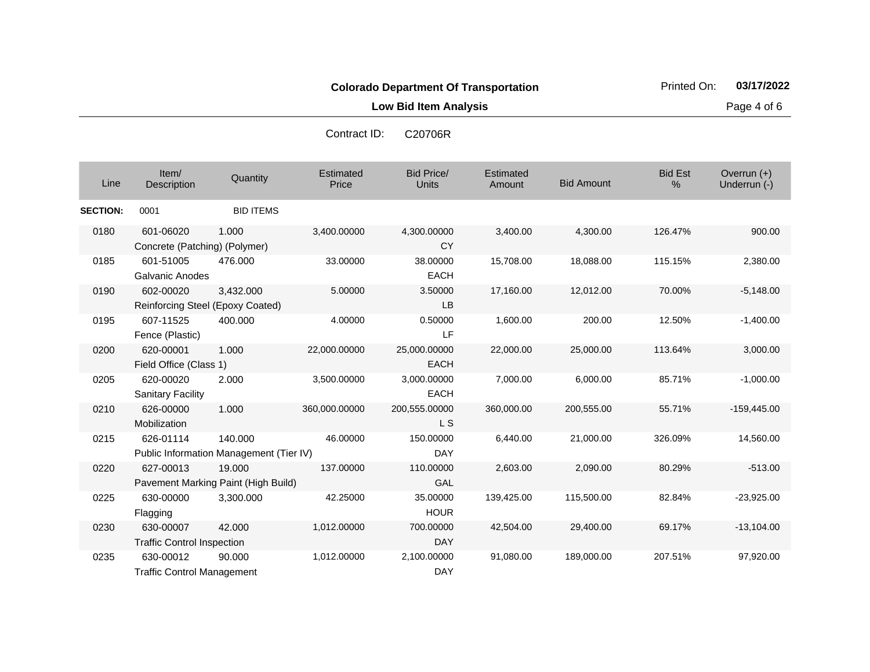**Low Bid Item Analysis Page 4 of 6** 

| Line            | Item/<br>Description                                 | Quantity         | Estimated<br>Price | <b>Bid Price/</b><br>Units  | Estimated<br>Amount | <b>Bid Amount</b> | <b>Bid Est</b><br>% | Overrun (+)<br>Underrun (-) |
|-----------------|------------------------------------------------------|------------------|--------------------|-----------------------------|---------------------|-------------------|---------------------|-----------------------------|
| <b>SECTION:</b> | 0001                                                 | <b>BID ITEMS</b> |                    |                             |                     |                   |                     |                             |
| 0180            | 601-06020<br>Concrete (Patching) (Polymer)           | 1.000            | 3,400.00000        | 4,300.00000<br><b>CY</b>    | 3,400.00            | 4,300.00          | 126.47%             | 900.00                      |
| 0185            | 601-51005<br><b>Galvanic Anodes</b>                  | 476.000          | 33.00000           | 38.00000<br><b>EACH</b>     | 15,708.00           | 18,088.00         | 115.15%             | 2,380.00                    |
| 0190            | 602-00020<br>Reinforcing Steel (Epoxy Coated)        | 3,432.000        | 5.00000            | 3.50000<br><b>LB</b>        | 17,160.00           | 12,012.00         | 70.00%              | $-5,148.00$                 |
| 0195            | 607-11525<br>Fence (Plastic)                         | 400.000          | 4.00000            | 0.50000<br>LF               | 1,600.00            | 200.00            | 12.50%              | $-1,400.00$                 |
| 0200            | 620-00001<br>Field Office (Class 1)                  | 1.000            | 22,000.00000       | 25,000.00000<br><b>EACH</b> | 22,000.00           | 25,000.00         | 113.64%             | 3,000.00                    |
| 0205            | 620-00020<br><b>Sanitary Facility</b>                | 2.000            | 3,500.00000        | 3,000.00000<br><b>EACH</b>  | 7,000.00            | 6,000.00          | 85.71%              | $-1,000.00$                 |
| 0210            | 626-00000<br>Mobilization                            | 1.000            | 360,000.00000      | 200,555.00000<br>L S        | 360,000.00          | 200,555.00        | 55.71%              | $-159,445.00$               |
| 0215            | 626-01114<br>Public Information Management (Tier IV) | 140.000          | 46.00000           | 150.00000<br><b>DAY</b>     | 6,440.00            | 21,000.00         | 326.09%             | 14,560.00                   |
| 0220            | 627-00013<br>Pavement Marking Paint (High Build)     | 19.000           | 137.00000          | 110.00000<br><b>GAL</b>     | 2,603.00            | 2,090.00          | 80.29%              | $-513.00$                   |
| 0225            | 630-00000<br>Flagging                                | 3.300.000        | 42.25000           | 35.00000<br><b>HOUR</b>     | 139,425.00          | 115,500.00        | 82.84%              | $-23,925.00$                |
| 0230            | 630-00007<br><b>Traffic Control Inspection</b>       | 42,000           | 1,012.00000        | 700.00000<br><b>DAY</b>     | 42,504.00           | 29,400.00         | 69.17%              | $-13,104.00$                |
| 0235            | 630-00012<br><b>Traffic Control Management</b>       | 90.000           | 1,012.00000        | 2,100.00000<br><b>DAY</b>   | 91,080.00           | 189,000.00        | 207.51%             | 97,920.00                   |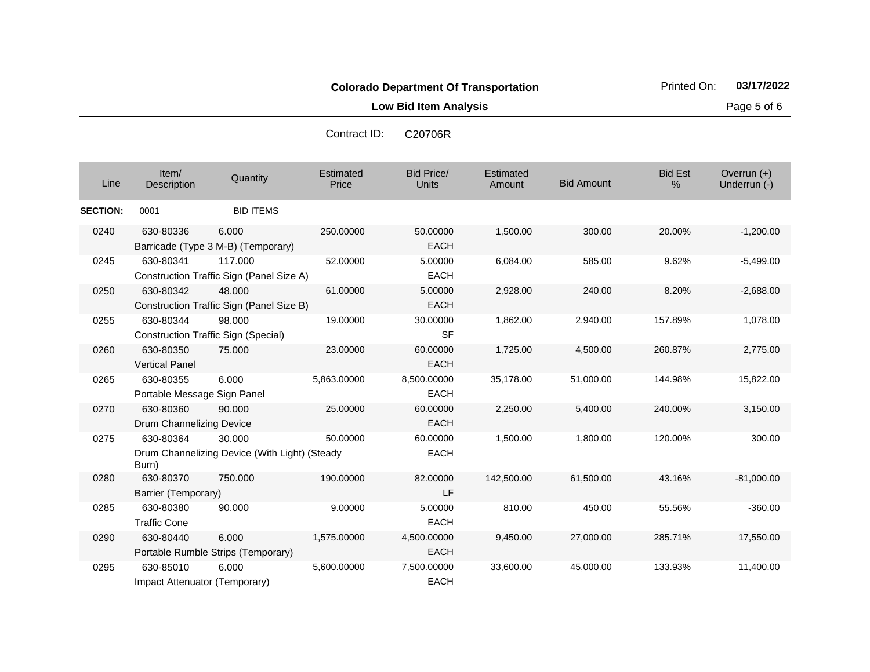**Low Bid Item Analysis Page 5 of 6** 

Co

| ontract ID: | C20706R |  |
|-------------|---------|--|
|             |         |  |

| Line            | Item/<br>Description                       | Quantity                                                | Estimated<br>Price | <b>Bid Price/</b><br><b>Units</b> | Estimated<br>Amount | <b>Bid Amount</b> | <b>Bid Est</b><br>% | Overrun $(+)$<br>Underrun (-) |
|-----------------|--------------------------------------------|---------------------------------------------------------|--------------------|-----------------------------------|---------------------|-------------------|---------------------|-------------------------------|
| <b>SECTION:</b> | 0001                                       | <b>BID ITEMS</b>                                        |                    |                                   |                     |                   |                     |                               |
| 0240            | 630-80336                                  | 6.000<br>Barricade (Type 3 M-B) (Temporary)             | 250.00000          | 50.00000<br><b>EACH</b>           | 1,500.00            | 300.00            | 20.00%              | $-1,200.00$                   |
| 0245            | 630-80341                                  | 117.000<br>Construction Traffic Sign (Panel Size A)     | 52.00000           | 5.00000<br><b>EACH</b>            | 6,084.00            | 585.00            | 9.62%               | $-5,499.00$                   |
| 0250            | 630-80342                                  | 48,000<br>Construction Traffic Sign (Panel Size B)      | 61.00000           | 5.00000<br><b>EACH</b>            | 2,928.00            | 240.00            | 8.20%               | $-2,688.00$                   |
| 0255            | 630-80344                                  | 98,000<br><b>Construction Traffic Sign (Special)</b>    | 19.00000           | 30.00000<br><b>SF</b>             | 1,862.00            | 2,940.00          | 157.89%             | 1,078.00                      |
| 0260            | 630-80350<br><b>Vertical Panel</b>         | 75,000                                                  | 23.00000           | 60.00000<br><b>EACH</b>           | 1,725.00            | 4,500.00          | 260.87%             | 2,775.00                      |
| 0265            | 630-80355<br>Portable Message Sign Panel   | 6.000                                                   | 5,863.00000        | 8,500.00000<br><b>EACH</b>        | 35,178.00           | 51,000.00         | 144.98%             | 15,822.00                     |
| 0270            | 630-80360<br>Drum Channelizing Device      | 90.000                                                  | 25.00000           | 60.00000<br><b>EACH</b>           | 2,250.00            | 5,400.00          | 240.00%             | 3,150.00                      |
| 0275            | 630-80364<br>Burn)                         | 30.000<br>Drum Channelizing Device (With Light) (Steady | 50.00000           | 60.00000<br><b>EACH</b>           | 1,500.00            | 1,800.00          | 120.00%             | 300.00                        |
| 0280            | 630-80370<br>Barrier (Temporary)           | 750.000                                                 | 190.00000          | 82.00000<br>LF                    | 142,500.00          | 61,500.00         | 43.16%              | $-81,000.00$                  |
| 0285            | 630-80380<br><b>Traffic Cone</b>           | 90.000                                                  | 9.00000            | 5.00000<br><b>EACH</b>            | 810.00              | 450.00            | 55.56%              | $-360.00$                     |
| 0290            | 630-80440                                  | 6.000<br>Portable Rumble Strips (Temporary)             | 1,575.00000        | 4,500.00000<br><b>EACH</b>        | 9,450.00            | 27,000.00         | 285.71%             | 17,550.00                     |
| 0295            | 630-85010<br>Impact Attenuator (Temporary) | 6.000                                                   | 5,600.00000        | 7,500.00000<br><b>EACH</b>        | 33,600.00           | 45,000.00         | 133.93%             | 11,400.00                     |